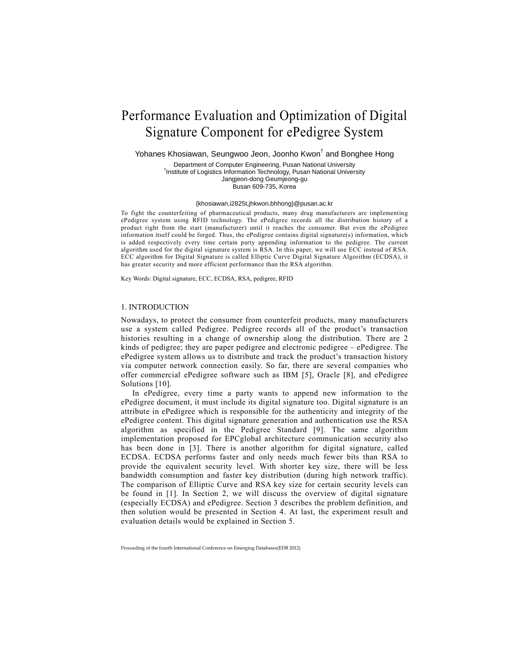# Performance Evaluation and Optimization of Digital Signature Component for ePedigree System

Yohanes Khosiawan, Seungwoo Jeon, Joonho Kwon<sup>†</sup> and Bonghee Hong Department of Computer Engineering, Pusan National University † <sup>†</sup>Institute of Logistics Information Technology, Pusan National University Jangjeon-dong Geumjeong-gu Busan 609-735, Korea

#### {khosiawan,i2825t,jhkwon,bhhong}@pusan.ac.kr

To fight the counterfeiting of pharmaceutical products, many drug manufacturers are implementing ePedigree system using RFID technology. The ePedigree records all the distribution history of a product right from the start (manufacturer) until it reaches the consumer. But even the ePedigree information itself could be forged. Thus, the ePedigree contains digital signature(s) information, which is added respectively every time certain party appending information to the pedigree. The current algorithm used for the digital signature system is RSA. In this paper, we will use ECC instead of RSA. ECC algorithm for Digital Signature is called Elliptic Curve Digital Signature Algorithm (ECDSA), it has greater security and more efficient performance than the RSA algorithm.

Key Words: Digital signature, ECC, ECDSA, RSA, pedigree, RFID

## 1. INTRODUCTION

Nowadays, to protect the consumer from counterfeit products, many manufacturers use a system called Pedigree. Pedigree records all of the product's transaction histories resulting in a change of ownership along the distribution. There are 2 kinds of pedigree; they are paper pedigree and electronic pedigree – ePedigree. The ePedigree system allows us to distribute and track the product's transaction history via computer network connection easily. So far, there are several companies who offer commercial ePedigree software such as IBM [5], Oracle [8], and ePedigree Solutions [10].

 In ePedigree, every time a party wants to append new information to the ePedigree document, it must include its digital signature too. Digital signature is an attribute in ePedigree which is responsible for the authenticity and integrity of the ePedigree content. This digital signature generation and authentication use the RSA algorithm as specified in the Pedigree Standard [9]. The same algorithm implementation proposed for EPCglobal architecture communication security also has been done in [3]. There is another algorithm for digital signature, called ECDSA. ECDSA performs faster and only needs much fewer bits than RSA to provide the equivalent security level. With shorter key size, there will be less bandwidth consumption and faster key distribution (during high network traffic). The comparison of Elliptic Curve and RSA key size for certain security levels can be found in [1]. In Section 2, we will discuss the overview of digital signature (especially ECDSA) and ePedigree. Section 3 describes the problem definition, and then solution would be presented in Section 4. At last, the experiment result and evaluation details would be explained in Section 5.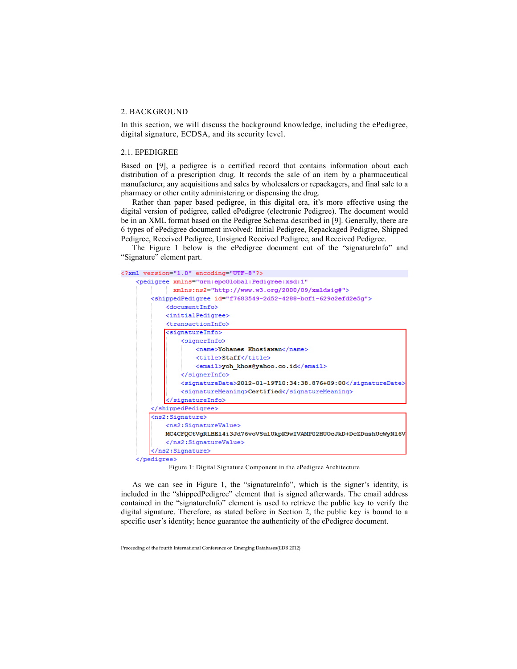# 2. BACKGROUND

In this section, we will discuss the background knowledge, including the ePedigree, digital signature, ECDSA, and its security level.

# 2.1. EPEDIGREE

Based on [9], a pedigree is a certified record that contains information about each distribution of a prescription drug. It records the sale of an item by a pharmaceutical manufacturer, any acquisitions and sales by wholesalers or repackagers, and final sale to a pharmacy or other entity administering or dispensing the drug.

 Rather than paper based pedigree, in this digital era, it's more effective using the digital version of pedigree, called ePedigree (electronic Pedigree). The document would be in an XML format based on the Pedigree Schema described in [9]. Generally, there are 6 types of ePedigree document involved: Initial Pedigree, Repackaged Pedigree, Shipped Pedigree, Received Pedigree, Unsigned Received Pedigree, and Received Pedigree.

 The Figure 1 below is the ePedigree document cut of the "signatureInfo" and "Signature" element part.



Figure 1: Digital Signature Component in the ePedigree Architecture

 As we can see in Figure 1, the "signatureInfo", which is the signer's identity, is included in the "shippedPedigree" element that is signed afterwards. The email address contained in the "signatureInfo" element is used to retrieve the public key to verify the digital signature. Therefore, as stated before in Section 2, the public key is bound to a specific user's identity; hence guarantee the authenticity of the ePedigree document.

Proceeding of the fourth International Conference on Emerging Databases(EDB 2012)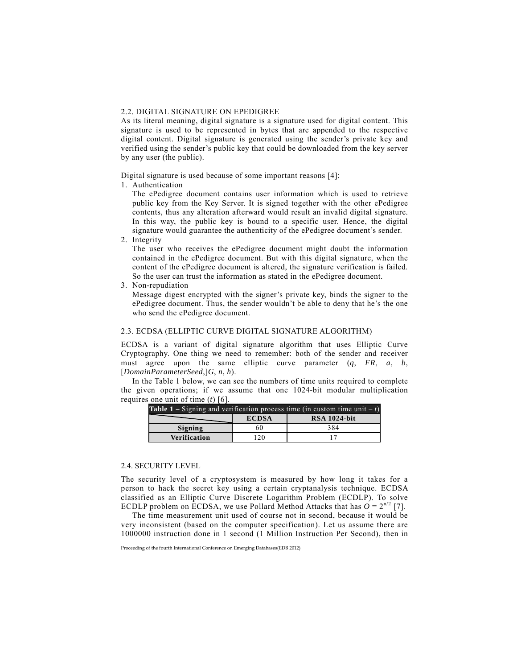# 2.2. DIGITAL SIGNATURE ON EPEDIGREE

As its literal meaning, digital signature is a signature used for digital content. This signature is used to be represented in bytes that are appended to the respective digital content. Digital signature is generated using the sender's private key and verified using the sender's public key that could be downloaded from the key server by any user (the public).

Digital signature is used because of some important reasons [4]:

1. Authentication

The ePedigree document contains user information which is used to retrieve public key from the Key Server. It is signed together with the other ePedigree contents, thus any alteration afterward would result an invalid digital signature. In this way, the public key is bound to a specific user. Hence, the digital signature would guarantee the authenticity of the ePedigree document's sender.

2. Integrity

The user who receives the ePedigree document might doubt the information contained in the ePedigree document. But with this digital signature, when the content of the ePedigree document is altered, the signature verification is failed. So the user can trust the information as stated in the ePedigree document.

3. Non-repudiation

Message digest encrypted with the signer's private key, binds the signer to the ePedigree document. Thus, the sender wouldn't be able to deny that he's the one who send the ePedigree document.

# 2.3. ECDSA (ELLIPTIC CURVE DIGITAL SIGNATURE ALGORITHM)

ECDSA is a variant of digital signature algorithm that uses Elliptic Curve Cryptography. One thing we need to remember: both of the sender and receiver must agree upon the same elliptic curve parameter (*q*, *FR*, *a*, *b*, [*DomainParameterSeed*,]*G*, *n*, *h*).

 In the Table 1 below, we can see the numbers of time units required to complete the given operations; if we assume that one 1024-bit modular multiplication requires one unit of time (*t*) [6].

| <b>Table 1</b> – Signing and verification process time (in custom time unit – t) |              |                     |
|----------------------------------------------------------------------------------|--------------|---------------------|
|                                                                                  | <b>ECDSA</b> | <b>RSA 1024-bit</b> |
| Signing                                                                          | 60           | 384                 |
| <b>Verification</b>                                                              | 20           |                     |

#### 2.4. SECURITY LEVEL

The security level of a cryptosystem is measured by how long it takes for a person to hack the secret key using a certain cryptanalysis technique. ECDSA classified as an Elliptic Curve Discrete Logarithm Problem (ECDLP). To solve ECDLP problem on ECDSA, we use Pollard Method Attacks that has  $Q = 2^{n/2}$  [7].

 The time measurement unit used of course not in second, because it would be very inconsistent (based on the computer specification). Let us assume there are 1000000 instruction done in 1 second (1 Million Instruction Per Second), then in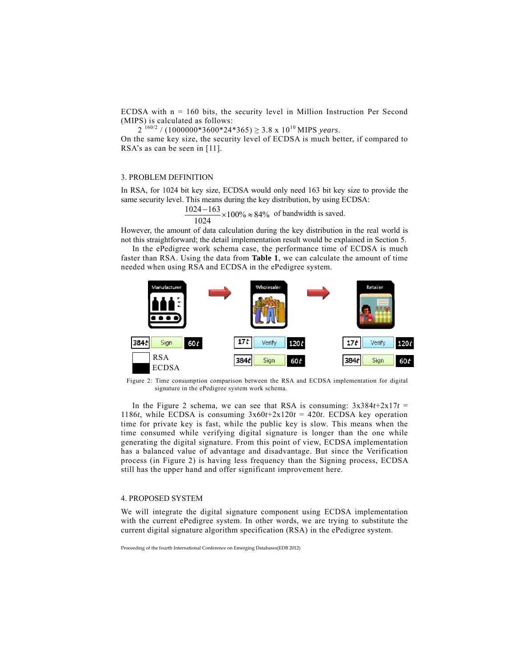ECDSA with  $n = 160$  bits, the security level in Million Instruction Per Second (MIPS) is calculated as follows:

 $2^{160/2}$  / (1000000\*3600\*24\*365)  $\geq$  3.8 x 10<sup>10</sup> MIPS *years*.

On the same key size, the security level of ECDSA is much better, if compared to RSA's as can be seen in [11].

# 3. PROBLEM DEFINITION

In RSA, for 1024 bit key size, ECDSA would only need 163 bit key size to provide the same security level. This means during the key distribution, by using ECDSA:

$$
\frac{1024 - 163}{1024} \times 100\% \approx 84\%
$$
 of bandwidth is saved.

However, the amount of data calculation during the key distribution in the real world is not this straightforward; the detail implementation result would be explained in Section 5.

 In the ePedigree work schema case, the performance time of ECDSA is much faster than RSA. Using the data from **Table 1**, we can calculate the amount of time needed when using RSA and ECDSA in the ePedigree system.



Figure 2: Time consumption comparison between the RSA and ECDSA implementation for digital signature in the ePedigree system work schema.

In the Figure 2 schema, we can see that RSA is consuming:  $3x384t+2x17t =$ 1186*t*, while ECDSA is consuming  $3x60t+2x120t = 420t$ . ECDSA key operation time for private key is fast, while the public key is slow. This means when the time consumed while verifying digital signature is longer than the one while generating the digital signature. From this point of view, ECDSA implementation has a balanced value of advantage and disadvantage. But since the Verification process (in Figure 2) is having less frequency than the Signing process, ECDSA still has the upper hand and offer significant improvement here.

# 4. PROPOSED SYSTEM

We will integrate the digital signature component using ECDSA implementation with the current ePedigree system. In other words, we are trying to substitute the current digital signature algorithm specification (RSA) in the ePedigree system.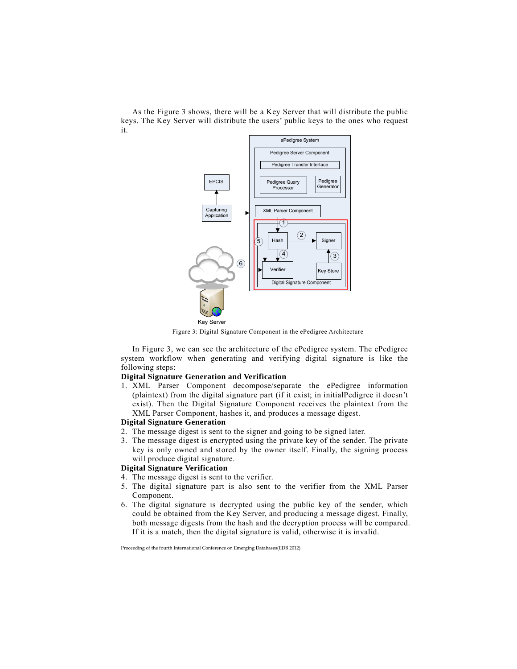As the Figure 3 shows, there will be a Key Server that will distribute the public keys. The Key Server will distribute the users' public keys to the ones who request it.



Figure 3: Digital Signature Component in the ePedigree Architecture

 In Figure 3, we can see the architecture of the ePedigree system. The ePedigree system workflow when generating and verifying digital signature is like the following steps:

## **Digital Signature Generation and Verification**

1. XML Parser Component decompose/separate the ePedigree information (plaintext) from the digital signature part (if it exist; in initialPedigree it doesn't exist). Then the Digital Signature Component receives the plaintext from the XML Parser Component, hashes it, and produces a message digest.

# **Digital Signature Generation**

- 2. The message digest is sent to the signer and going to be signed later.
- 3. The message digest is encrypted using the private key of the sender. The private key is only owned and stored by the owner itself. Finally, the signing process will produce digital signature.

#### **Digital Signature Verification**

- 4. The message digest is sent to the verifier.
- 5. The digital signature part is also sent to the verifier from the XML Parser Component.
- 6. The digital signature is decrypted using the public key of the sender, which could be obtained from the Key Server, and producing a message digest. Finally, both message digests from the hash and the decryption process will be compared. If it is a match, then the digital signature is valid, otherwise it is invalid.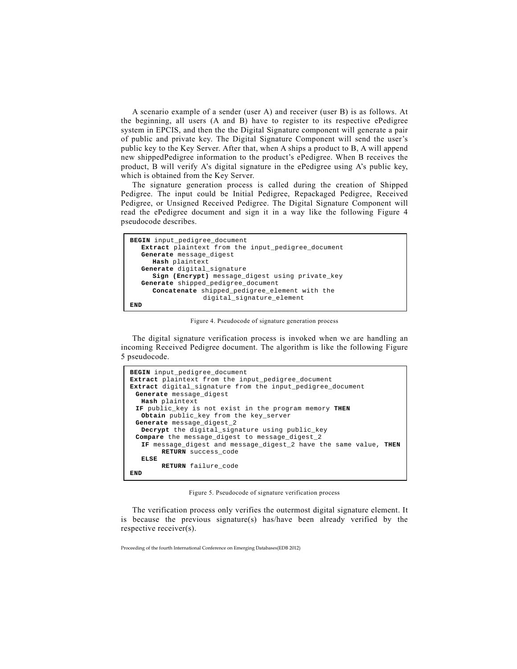A scenario example of a sender (user A) and receiver (user B) is as follows. At the beginning, all users (A and B) have to register to its respective ePedigree system in EPCIS, and then the the Digital Signature component will generate a pair of public and private key. The Digital Signature Component will send the user's public key to the Key Server. After that, when A ships a product to B, A will append new shippedPedigree information to the product's ePedigree. When B receives the product, B will verify A's digital signature in the ePedigree using A's public key, which is obtained from the Key Server.

 The signature generation process is called during the creation of Shipped Pedigree. The input could be Initial Pedigree, Repackaged Pedigree, Received Pedigree, or Unsigned Received Pedigree. The Digital Signature Component will read the ePedigree document and sign it in a way like the following Figure 4 pseudocode describes.

```
BEGIN input_pedigree_document 
   Extract plaintext from the input_pedigree_document
   Generate message_digest 
      Hash plaintext 
  Generate digital_signature
      Sign (Encrypt) message_digest using private_key 
  Generate shipped_pedigree_document 
      Concatenate shipped_pedigree_element with the 
                   digital_signature_element 
END
```
Figure 4. Pseudocode of signature generation process

 The digital signature verification process is invoked when we are handling an incoming Received Pedigree document. The algorithm is like the following Figure 5 pseudocode.

```
BEGIN input_pedigree_document 
Extract plaintext from the input pedigree document
Extract digital_signature from the input_pedigree_document
  Generate message_digest 
   Hash plaintext 
 IF public_key is not exist in the program memory THEN
   Obtain public_key from the key_server 
 Generate message_digest_2 
   Decrypt the digital_signature using public_key 
 Compare the message_digest to message_digest_2 
   IF message_digest and message_digest_2 have the same value, THEN
         RETURN success_code 
    ELSE 
         RETURN failure_code 
END
```
Figure 5. Pseudocode of signature verification process

 The verification process only verifies the outermost digital signature element. It is because the previous signature(s) has/have been already verified by the respective receiver(s).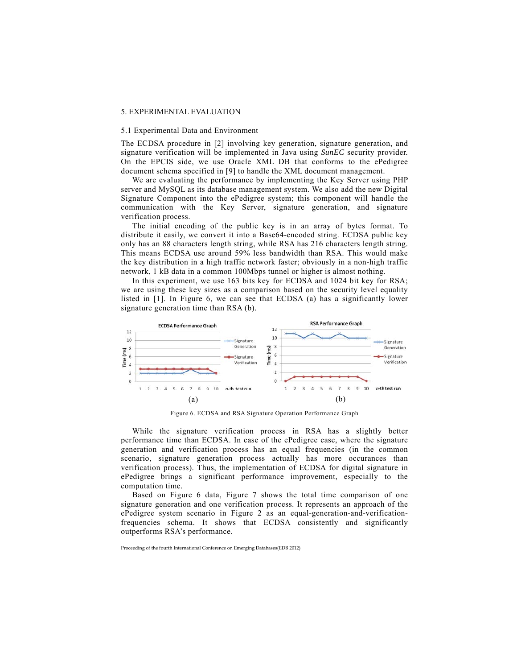# 5. EXPERIMENTAL EVALUATION

# 5.1 Experimental Data and Environment

The ECDSA procedure in [2] involving key generation, signature generation, and signature verification will be implemented in Java using *SunEC* security provider. On the EPCIS side, we use Oracle XML DB that conforms to the ePedigree document schema specified in [9] to handle the XML document management.

 We are evaluating the performance by implementing the Key Server using PHP server and MySQL as its database management system. We also add the new Digital Signature Component into the ePedigree system; this component will handle the communication with the Key Server, signature generation, and signature verification process.

 The initial encoding of the public key is in an array of bytes format. To distribute it easily, we convert it into a Base64-encoded string. ECDSA public key only has an 88 characters length string, while RSA has 216 characters length string. This means ECDSA use around 59% less bandwidth than RSA. This would make the key distribution in a high traffic network faster; obviously in a non-high traffic network, 1 kB data in a common 100Mbps tunnel or higher is almost nothing.

 In this experiment, we use 163 bits key for ECDSA and 1024 bit key for RSA; we are using these key sizes as a comparison based on the security level equality listed in [1]. In Figure 6, we can see that ECDSA (a) has a significantly lower signature generation time than RSA (b).



Figure 6. ECDSA and RSA Signature Operation Performance Graph

 While the signature verification process in RSA has a slightly better performance time than ECDSA. In case of the ePedigree case, where the signature generation and verification process has an equal frequencies (in the common scenario, signature generation process actually has more occurances than verification process). Thus, the implementation of ECDSA for digital signature in ePedigree brings a significant performance improvement, especially to the computation time.

 Based on Figure 6 data, Figure 7 shows the total time comparison of one signature generation and one verification process. It represents an approach of the ePedigree system scenario in Figure 2 as an equal-generation-and-verificationfrequencies schema. It shows that ECDSA consistently and significantly outperforms RSA's performance.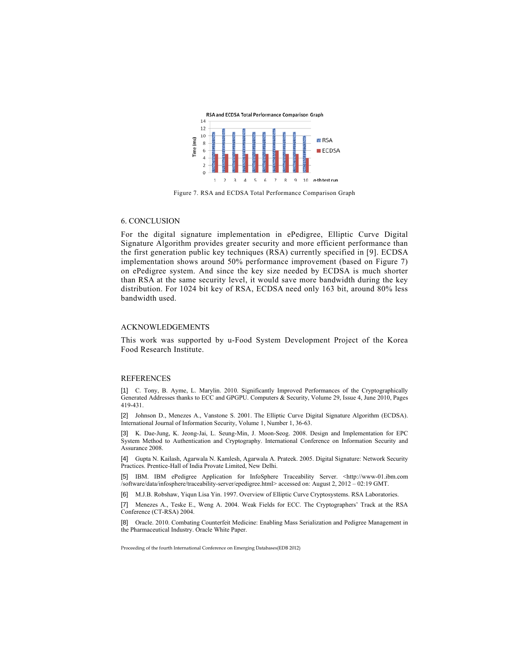

Figure 7. RSA and ECDSA Total Performance Comparison Graph

# 6. CONCLUSION

For the digital signature implementation in ePedigree, Elliptic Curve Digital Signature Algorithm provides greater security and more efficient performance than the first generation public key techniques (RSA) currently specified in [9]. ECDSA implementation shows around 50% performance improvement (based on Figure 7) on ePedigree system. And since the key size needed by ECDSA is much shorter than RSA at the same security level, it would save more bandwidth during the key distribution. For 1024 bit key of RSA, ECDSA need only 163 bit, around 80% less bandwidth used.

#### ACKNOWLEDGEMENTS

This work was supported by u-Food System Development Project of the Korea Food Research Institute.

## REFERENCES

[1] C. Tony, B. Ayme, L. Marylin. 2010. Significantly Improved Performances of the Cryptographically Generated Addresses thanks to ECC and GPGPU. Computers & Security, Volume 29, Issue 4, June 2010, Pages 419-431.

[2] Johnson D., Menezes A., Vanstone S. 2001. The Elliptic Curve Digital Signature Algorithm (ECDSA). International Journal of Information Security, Volume 1, Number 1, 36-63.

[3] K. Dae-Jung, K. Jeong-Jai, L. Seung-Min, J. Moon-Seog. 2008. Design and Implementation for EPC System Method to Authentication and Cryptography. International Conference on Information Security and Assurance 2008.

[4] Gupta N. Kailash, Agarwala N. Kamlesh, Agarwala A. Prateek. 2005. Digital Signature: Network Security Practices. Prentice-Hall of India Provate Limited, New Delhi.

[5] IBM. IBM ePedigree Application for InfoSphere Traceability Server. <http://www-01.ibm.com /software/data/infosphere/traceability-server/epedigree.html> accessed on: August 2, 2012 – 02:19 GMT.

[6] M.J.B. Robshaw, Yiqun Lisa Yin. 1997. Overview of Elliptic Curve Cryptosystems. RSA Laboratories.

[7] Menezes A., Teske E., Weng A. 2004. Weak Fields for ECC. The Cryptographers' Track at the RSA Conference (CT-RSA) 2004.

[8] Oracle. 2010. Combating Counterfeit Medicine: Enabling Mass Serialization and Pedigree Management in the Pharmaceutical Industry. Oracle White Paper.